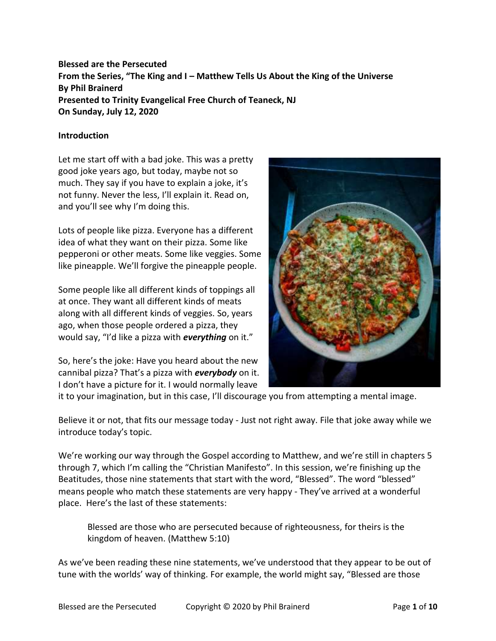# **Blessed are the Persecuted From the Series, "The King and I – Matthew Tells Us About the King of the Universe By Phil Brainerd Presented to Trinity Evangelical Free Church of Teaneck, NJ On Sunday, July 12, 2020**

#### **Introduction**

Let me start off with a bad joke. This was a pretty good joke years ago, but today, maybe not so much. They say if you have to explain a joke, it's not funny. Never the less, I'll explain it. Read on, and you'll see why I'm doing this.

Lots of people like pizza. Everyone has a different idea of what they want on their pizza. Some like pepperoni or other meats. Some like veggies. Some like pineapple. We'll forgive the pineapple people.

Some people like all different kinds of toppings all at once. They want all different kinds of meats along with all different kinds of veggies. So, years ago, when those people ordered a pizza, they would say, "I'd like a pizza with *everything* on it."

So, here's the joke: Have you heard about the new cannibal pizza? That's a pizza with *everybody* on it. I don't have a picture for it. I would normally leave



it to your imagination, but in this case, I'll discourage you from attempting a mental image.

Believe it or not, that fits our message today - Just not right away. File that joke away while we introduce today's topic.

We're working our way through the Gospel according to Matthew, and we're still in chapters 5 through 7, which I'm calling the "Christian Manifesto". In this session, we're finishing up the Beatitudes, those nine statements that start with the word, "Blessed". The word "blessed" means people who match these statements are very happy - They've arrived at a wonderful place. Here's the last of these statements:

Blessed are those who are persecuted because of righteousness, for theirs is the kingdom of heaven. (Matthew 5:10)

As we've been reading these nine statements, we've understood that they appear to be out of tune with the worlds' way of thinking. For example, the world might say, "Blessed are those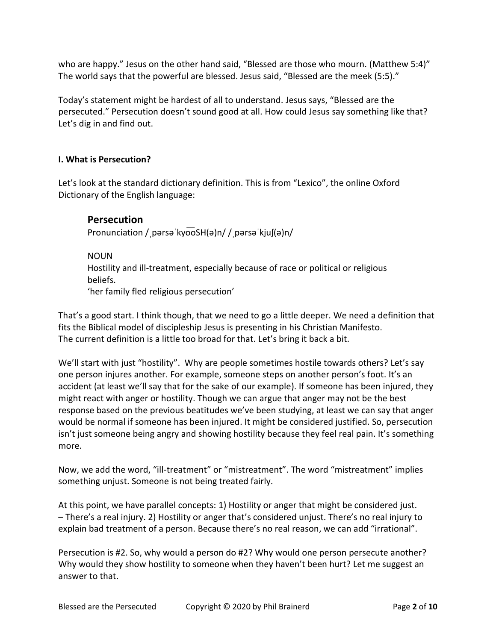who are happy." Jesus on the other hand said, "Blessed are those who mourn. (Matthew 5:4)" The world says that the powerful are blessed. Jesus said, "Blessed are the meek (5:5)."

Today's statement might be hardest of all to understand. Jesus says, "Blessed are the persecuted." Persecution doesn't sound good at all. How could Jesus say something like that? Let's dig in and find out.

## **I. What is Persecution?**

Let's look at the standard dictionary definition. This is from "Lexico", the online Oxford Dictionary of the English language:

# **Persecution**

Pronunciation / pərsə kyooSH(ə)n/ / pərsə kjuf(ə)n/

NOUN Hostility and ill-treatment, especially because of race or political or religious beliefs. 'her family fled religious persecution'

That's a good start. I think though, that we need to go a little deeper. We need a definition that fits the Biblical model of discipleship Jesus is presenting in his Christian Manifesto. The current definition is a little too broad for that. Let's bring it back a bit.

We'll start with just "hostility". Why are people sometimes hostile towards others? Let's say one person injures another. For example, someone steps on another person's foot. It's an accident (at least we'll say that for the sake of our example). If someone has been injured, they might react with anger or hostility. Though we can argue that anger may not be the best response based on the previous beatitudes we've been studying, at least we can say that anger would be normal if someone has been injured. It might be considered justified. So, persecution isn't just someone being angry and showing hostility because they feel real pain. It's something more.

Now, we add the word, "ill-treatment" or "mistreatment". The word "mistreatment" implies something unjust. Someone is not being treated fairly.

At this point, we have parallel concepts: 1) Hostility or anger that might be considered just. – There's a real injury. 2) Hostility or anger that's considered unjust. There's no real injury to explain bad treatment of a person. Because there's no real reason, we can add "irrational".

Persecution is #2. So, why would a person do #2? Why would one person persecute another? Why would they show hostility to someone when they haven't been hurt? Let me suggest an answer to that.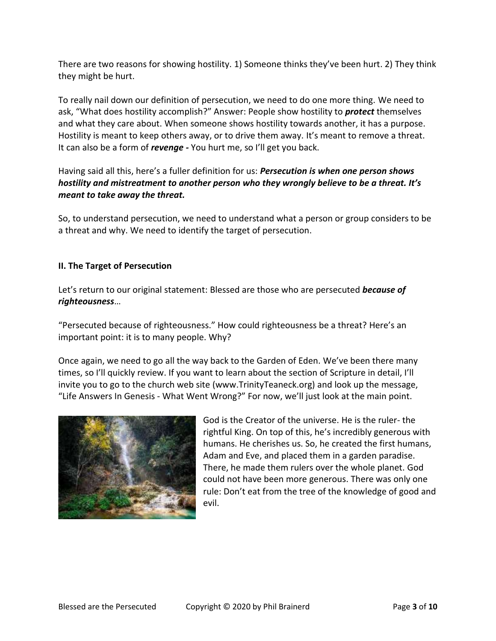There are two reasons for showing hostility. 1) Someone thinks they've been hurt. 2) They think they might be hurt.

To really nail down our definition of persecution, we need to do one more thing. We need to ask, "What does hostility accomplish?" Answer: People show hostility to *protect* themselves and what they care about. When someone shows hostility towards another, it has a purpose. Hostility is meant to keep others away, or to drive them away. It's meant to remove a threat. It can also be a form of *revenge -* You hurt me, so I'll get you back.

## Having said all this, here's a fuller definition for us: *Persecution is when one person shows hostility and mistreatment to another person who they wrongly believe to be a threat. It's meant to take away the threat.*

So, to understand persecution, we need to understand what a person or group considers to be a threat and why. We need to identify the target of persecution.

## **II. The Target of Persecution**

Let's return to our original statement: Blessed are those who are persecuted *because of righteousness*…

"Persecuted because of righteousness." How could righteousness be a threat? Here's an important point: it is to many people. Why?

Once again, we need to go all the way back to the Garden of Eden. We've been there many times, so I'll quickly review. If you want to learn about the section of Scripture in detail, I'll invite you to go to the church web site (www.TrinityTeaneck.org) and look up the message, "Life Answers In Genesis - What Went Wrong?" For now, we'll just look at the main point.



God is the Creator of the universe. He is the ruler- the rightful King. On top of this, he's incredibly generous with humans. He cherishes us. So, he created the first humans, Adam and Eve, and placed them in a garden paradise. There, he made them rulers over the whole planet. God could not have been more generous. There was only one rule: Don't eat from the tree of the knowledge of good and evil.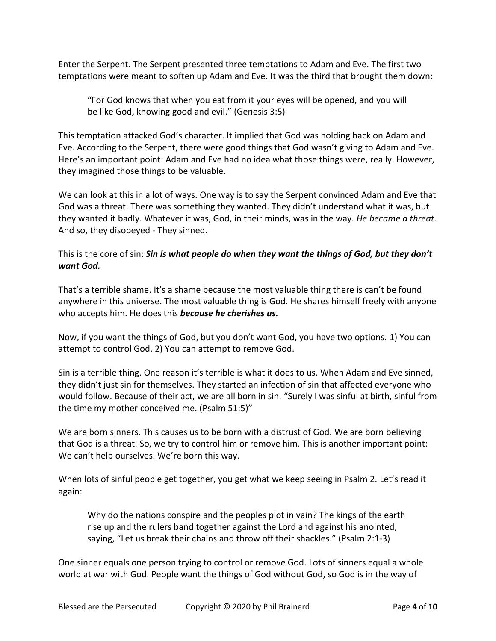Enter the Serpent. The Serpent presented three temptations to Adam and Eve. The first two temptations were meant to soften up Adam and Eve. It was the third that brought them down:

"For God knows that when you eat from it your eyes will be opened, and you will be like God, knowing good and evil." (Genesis 3:5)

This temptation attacked God's character. It implied that God was holding back on Adam and Eve. According to the Serpent, there were good things that God wasn't giving to Adam and Eve. Here's an important point: Adam and Eve had no idea what those things were, really. However, they imagined those things to be valuable.

We can look at this in a lot of ways. One way is to say the Serpent convinced Adam and Eve that God was a threat. There was something they wanted. They didn't understand what it was, but they wanted it badly. Whatever it was, God, in their minds, was in the way. *He became a threat.* And so, they disobeyed - They sinned.

### This is the core of sin: *Sin is what people do when they want the things of God, but they don't want God.*

That's a terrible shame. It's a shame because the most valuable thing there is can't be found anywhere in this universe. The most valuable thing is God. He shares himself freely with anyone who accepts him. He does this *because he cherishes us.*

Now, if you want the things of God, but you don't want God, you have two options. 1) You can attempt to control God. 2) You can attempt to remove God.

Sin is a terrible thing. One reason it's terrible is what it does to us. When Adam and Eve sinned, they didn't just sin for themselves. They started an infection of sin that affected everyone who would follow. Because of their act, we are all born in sin. "Surely I was sinful at birth, sinful from the time my mother conceived me. (Psalm 51:5)"

We are born sinners. This causes us to be born with a distrust of God. We are born believing that God is a threat. So, we try to control him or remove him. This is another important point: We can't help ourselves. We're born this way.

When lots of sinful people get together, you get what we keep seeing in Psalm 2. Let's read it again:

Why do the nations conspire and the peoples plot in vain? The kings of the earth rise up and the rulers band together against the Lord and against his anointed, saying, "Let us break their chains and throw off their shackles." (Psalm 2:1-3)

One sinner equals one person trying to control or remove God. Lots of sinners equal a whole world at war with God. People want the things of God without God, so God is in the way of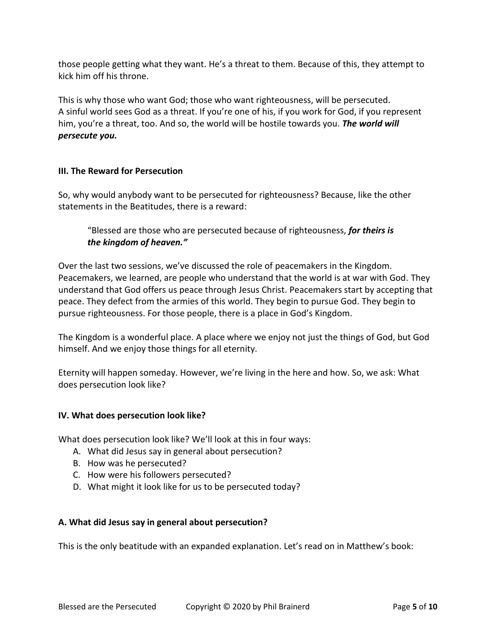those people getting what they want. He's a threat to them. Because of this, they attempt to kick him off his throne.

This is why those who want God; those who want righteousness, will be persecuted. A sinful world sees God as a threat. If you're one of his, if you work for God, if you represent him, you're a threat, too. And so, the world will be hostile towards you. *The world will persecute you.*

# **III. The Reward for Persecution**

So, why would anybody want to be persecuted for righteousness? Because, like the other statements in the Beatitudes, there is a reward:

"Blessed are those who are persecuted because of righteousness, *for theirs is the kingdom of heaven."*

Over the last two sessions, we've discussed the role of peacemakers in the Kingdom. Peacemakers, we learned, are people who understand that the world is at war with God. They understand that God offers us peace through Jesus Christ. Peacemakers start by accepting that peace. They defect from the armies of this world. They begin to pursue God. They begin to pursue righteousness. For those people, there is a place in God's Kingdom.

The Kingdom is a wonderful place. A place where we enjoy not just the things of God, but God himself. And we enjoy those things for all eternity.

Eternity will happen someday. However, we're living in the here and how. So, we ask: What does persecution look like?

## **IV. What does persecution look like?**

What does persecution look like? We'll look at this in four ways:

- A. What did Jesus say in general about persecution?
- B. How was he persecuted?
- C. How were his followers persecuted?
- D. What might it look like for us to be persecuted today?

## **A. What did Jesus say in general about persecution?**

This is the only beatitude with an expanded explanation. Let's read on in Matthew's book: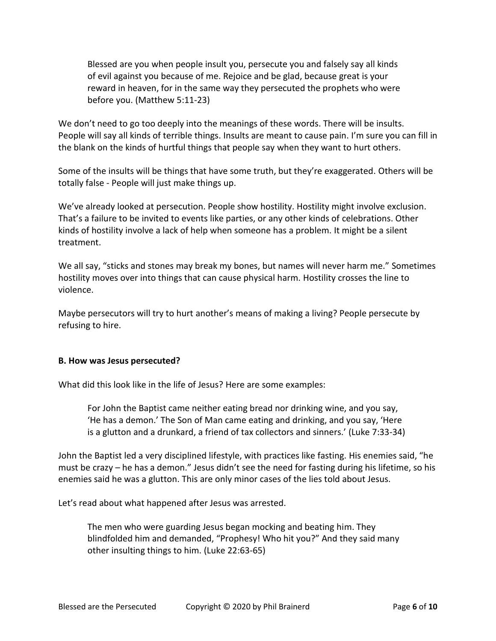Blessed are you when people insult you, persecute you and falsely say all kinds of evil against you because of me. Rejoice and be glad, because great is your reward in heaven, for in the same way they persecuted the prophets who were before you. (Matthew 5:11-23)

We don't need to go too deeply into the meanings of these words. There will be insults. People will say all kinds of terrible things. Insults are meant to cause pain. I'm sure you can fill in the blank on the kinds of hurtful things that people say when they want to hurt others.

Some of the insults will be things that have some truth, but they're exaggerated. Others will be totally false - People will just make things up.

We've already looked at persecution. People show hostility. Hostility might involve exclusion. That's a failure to be invited to events like parties, or any other kinds of celebrations. Other kinds of hostility involve a lack of help when someone has a problem. It might be a silent treatment.

We all say, "sticks and stones may break my bones, but names will never harm me." Sometimes hostility moves over into things that can cause physical harm. Hostility crosses the line to violence.

Maybe persecutors will try to hurt another's means of making a living? People persecute by refusing to hire.

#### **B. How was Jesus persecuted?**

What did this look like in the life of Jesus? Here are some examples:

For John the Baptist came neither eating bread nor drinking wine, and you say, 'He has a demon.' The Son of Man came eating and drinking, and you say, 'Here is a glutton and a drunkard, a friend of tax collectors and sinners.' (Luke 7:33-34)

John the Baptist led a very disciplined lifestyle, with practices like fasting. His enemies said, "he must be crazy – he has a demon." Jesus didn't see the need for fasting during his lifetime, so his enemies said he was a glutton. This are only minor cases of the lies told about Jesus.

Let's read about what happened after Jesus was arrested.

The men who were guarding Jesus began mocking and beating him. They blindfolded him and demanded, "Prophesy! Who hit you?" And they said many other insulting things to him. (Luke 22:63-65)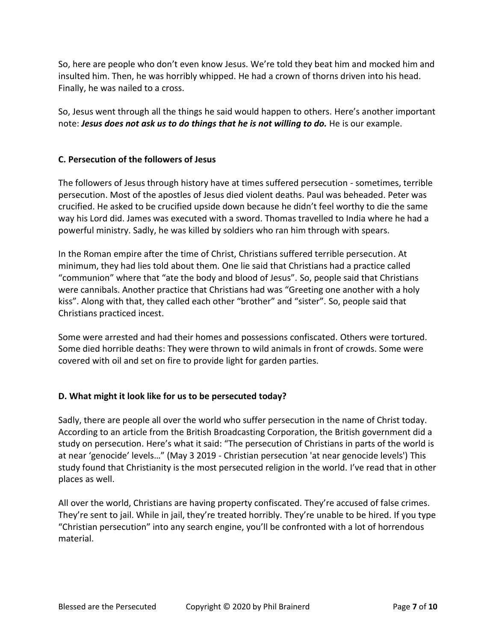So, here are people who don't even know Jesus. We're told they beat him and mocked him and insulted him. Then, he was horribly whipped. He had a crown of thorns driven into his head. Finally, he was nailed to a cross.

So, Jesus went through all the things he said would happen to others. Here's another important note: *Jesus does not ask us to do things that he is not willing to do.* He is our example.

## **C. Persecution of the followers of Jesus**

The followers of Jesus through history have at times suffered persecution - sometimes, terrible persecution. Most of the apostles of Jesus died violent deaths. Paul was beheaded. Peter was crucified. He asked to be crucified upside down because he didn't feel worthy to die the same way his Lord did. James was executed with a sword. Thomas travelled to India where he had a powerful ministry. Sadly, he was killed by soldiers who ran him through with spears.

In the Roman empire after the time of Christ, Christians suffered terrible persecution. At minimum, they had lies told about them. One lie said that Christians had a practice called "communion" where that "ate the body and blood of Jesus". So, people said that Christians were cannibals. Another practice that Christians had was "Greeting one another with a holy kiss". Along with that, they called each other "brother" and "sister". So, people said that Christians practiced incest.

Some were arrested and had their homes and possessions confiscated. Others were tortured. Some died horrible deaths: They were thrown to wild animals in front of crowds. Some were covered with oil and set on fire to provide light for garden parties.

## **D. What might it look like for us to be persecuted today?**

Sadly, there are people all over the world who suffer persecution in the name of Christ today. According to an article from the British Broadcasting Corporation, the British government did a study on persecution. Here's what it said: "The persecution of Christians in parts of the world is at near 'genocide' levels…" (May 3 2019 - Christian persecution 'at near genocide levels') This study found that Christianity is the most persecuted religion in the world. I've read that in other places as well.

All over the world, Christians are having property confiscated. They're accused of false crimes. They're sent to jail. While in jail, they're treated horribly. They're unable to be hired. If you type "Christian persecution" into any search engine, you'll be confronted with a lot of horrendous material.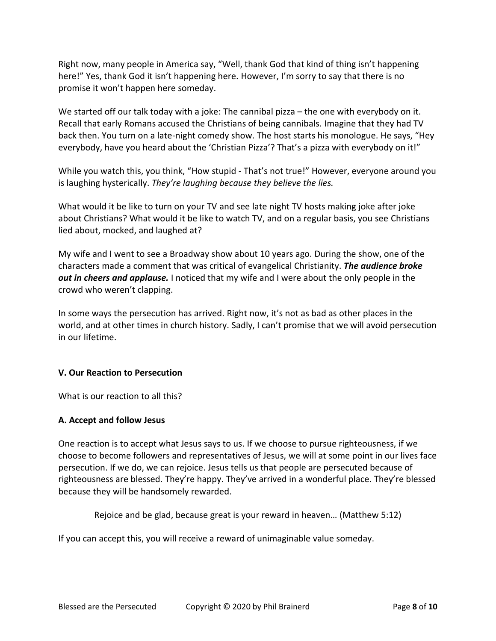Right now, many people in America say, "Well, thank God that kind of thing isn't happening here!" Yes, thank God it isn't happening here. However, I'm sorry to say that there is no promise it won't happen here someday.

We started off our talk today with a joke: The cannibal pizza – the one with everybody on it. Recall that early Romans accused the Christians of being cannibals. Imagine that they had TV back then. You turn on a late-night comedy show. The host starts his monologue. He says, "Hey everybody, have you heard about the 'Christian Pizza'? That's a pizza with everybody on it!"

While you watch this, you think, "How stupid - That's not true!" However, everyone around you is laughing hysterically. *They're laughing because they believe the lies.*

What would it be like to turn on your TV and see late night TV hosts making joke after joke about Christians? What would it be like to watch TV, and on a regular basis, you see Christians lied about, mocked, and laughed at?

My wife and I went to see a Broadway show about 10 years ago. During the show, one of the characters made a comment that was critical of evangelical Christianity. *The audience broke out in cheers and applause.* I noticed that my wife and I were about the only people in the crowd who weren't clapping.

In some ways the persecution has arrived. Right now, it's not as bad as other places in the world, and at other times in church history. Sadly, I can't promise that we will avoid persecution in our lifetime.

#### **V. Our Reaction to Persecution**

What is our reaction to all this?

#### **A. Accept and follow Jesus**

One reaction is to accept what Jesus says to us. If we choose to pursue righteousness, if we choose to become followers and representatives of Jesus, we will at some point in our lives face persecution. If we do, we can rejoice. Jesus tells us that people are persecuted because of righteousness are blessed. They're happy. They've arrived in a wonderful place. They're blessed because they will be handsomely rewarded.

Rejoice and be glad, because great is your reward in heaven… (Matthew 5:12)

If you can accept this, you will receive a reward of unimaginable value someday.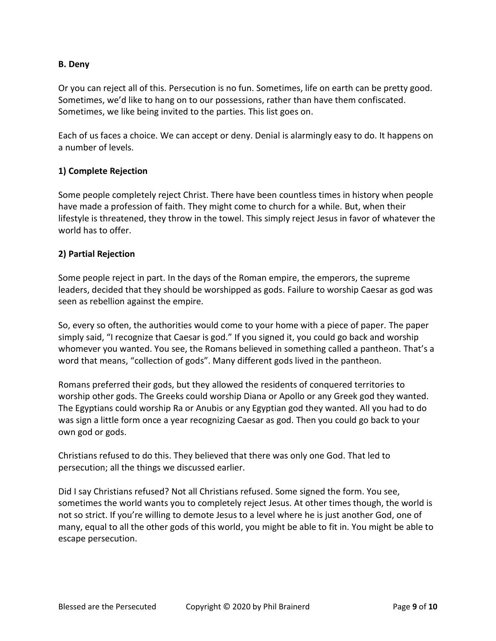#### **B. Deny**

Or you can reject all of this. Persecution is no fun. Sometimes, life on earth can be pretty good. Sometimes, we'd like to hang on to our possessions, rather than have them confiscated. Sometimes, we like being invited to the parties. This list goes on.

Each of us faces a choice. We can accept or deny. Denial is alarmingly easy to do. It happens on a number of levels.

#### **1) Complete Rejection**

Some people completely reject Christ. There have been countless times in history when people have made a profession of faith. They might come to church for a while. But, when their lifestyle is threatened, they throw in the towel. This simply reject Jesus in favor of whatever the world has to offer.

#### **2) Partial Rejection**

Some people reject in part. In the days of the Roman empire, the emperors, the supreme leaders, decided that they should be worshipped as gods. Failure to worship Caesar as god was seen as rebellion against the empire.

So, every so often, the authorities would come to your home with a piece of paper. The paper simply said, "I recognize that Caesar is god." If you signed it, you could go back and worship whomever you wanted. You see, the Romans believed in something called a pantheon. That's a word that means, "collection of gods". Many different gods lived in the pantheon.

Romans preferred their gods, but they allowed the residents of conquered territories to worship other gods. The Greeks could worship Diana or Apollo or any Greek god they wanted. The Egyptians could worship Ra or Anubis or any Egyptian god they wanted. All you had to do was sign a little form once a year recognizing Caesar as god. Then you could go back to your own god or gods.

Christians refused to do this. They believed that there was only one God. That led to persecution; all the things we discussed earlier.

Did I say Christians refused? Not all Christians refused. Some signed the form. You see, sometimes the world wants you to completely reject Jesus. At other times though, the world is not so strict. If you're willing to demote Jesus to a level where he is just another God, one of many, equal to all the other gods of this world, you might be able to fit in. You might be able to escape persecution.